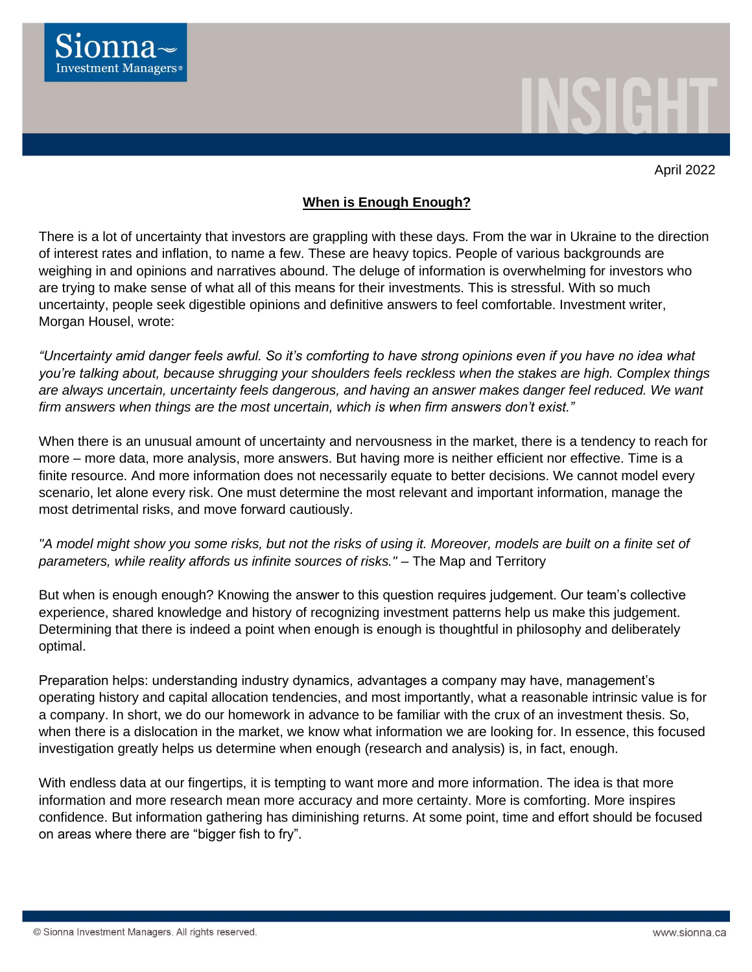

April 2022

## **When is Enough Enough?**

There is a lot of uncertainty that investors are grappling with these days. From the war in Ukraine to the direction of interest rates and inflation, to name a few. These are heavy topics. People of various backgrounds are weighing in and opinions and narratives abound. The deluge of information is overwhelming for investors who are trying to make sense of what all of this means for their investments. This is stressful. With so much uncertainty, people seek digestible opinions and definitive answers to feel comfortable. Investment writer, Morgan Housel, wrote:

*"Uncertainty amid danger feels awful. So it's comforting to have strong opinions even if you have no idea what you're talking about, because shrugging your shoulders feels reckless when the stakes are high. Complex things are always uncertain, uncertainty feels dangerous, and having an answer makes danger feel reduced. We want firm answers when things are the most uncertain, which is when firm answers don't exist."*

When there is an unusual amount of uncertainty and nervousness in the market, there is a tendency to reach for more – more data, more analysis, more answers. But having more is neither efficient nor effective. Time is a finite resource. And more information does not necessarily equate to better decisions. We cannot model every scenario, let alone every risk. One must determine the most relevant and important information, manage the most detrimental risks, and move forward cautiously.

*"A model might show you some risks, but not the risks of using it. Moreover, models are built on a finite set of parameters, while reality affords us infinite sources of risks."* – The Map and Territory

But when is enough enough? Knowing the answer to this question requires judgement. Our team's collective experience, shared knowledge and history of recognizing investment patterns help us make this judgement. Determining that there is indeed a point when enough is enough is thoughtful in philosophy and deliberately optimal.

Preparation helps: understanding industry dynamics, advantages a company may have, management's operating history and capital allocation tendencies, and most importantly, what a reasonable intrinsic value is for a company. In short, we do our homework in advance to be familiar with the crux of an investment thesis. So, when there is a dislocation in the market, we know what information we are looking for. In essence, this focused investigation greatly helps us determine when enough (research and analysis) is, in fact, enough.

With endless data at our fingertips, it is tempting to want more and more information. The idea is that more information and more research mean more accuracy and more certainty. More is comforting. More inspires confidence. But information gathering has diminishing returns. At some point, time and effort should be focused on areas where there are "bigger fish to fry".